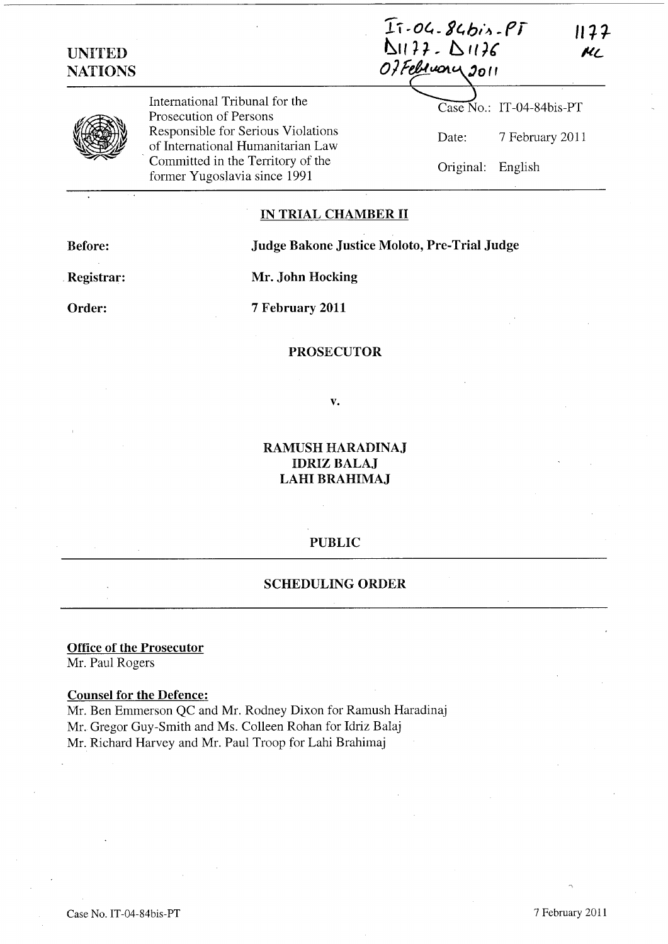$I$  $\overline{1}$  $\cdot$ 04.  $84$ bis.  $PI$  $1177$  $D1177. D1176$ Of February 2011

| ×<br>Ĩ. |
|---------|
|---------|

UNITED **NATIONS** 

> International Tribunal for the Prosecution of Persons Responsible for Serious Violations of International Humanitarian Law . Committed in the Territory of the former Yugoslavia since 1991

# Case No.: IT-04-84bis-PT Date: 7 February 2011 Original: English

ML

## IN TRIAL CHAMBER II

Before: Judge Bakone Justice Moloto, Pre-Trial Judge

. Registrar:

Mr. John Hocking

Order:

7 February 2011

#### PROSECUTOR

v.

RAMUSH HARADINAJ **IDRIZ BALAJ** LAHI BRAHIMAJ

#### PUBLIC

## SCHEDULING ORDER

Office of the Prosecutor Mr. Paul Rogers

## Counsel for the Defence:

Mr. Ben Emmerson QC and Mr. Rodney Dixon for Ramush Haradinaj Mr. Gregor Guy-Smith and Ms. Colleen Rohan for Idriz Balaj Mr. Richard Harvey and Mr. Paul Troop for Lahi Brahimaj